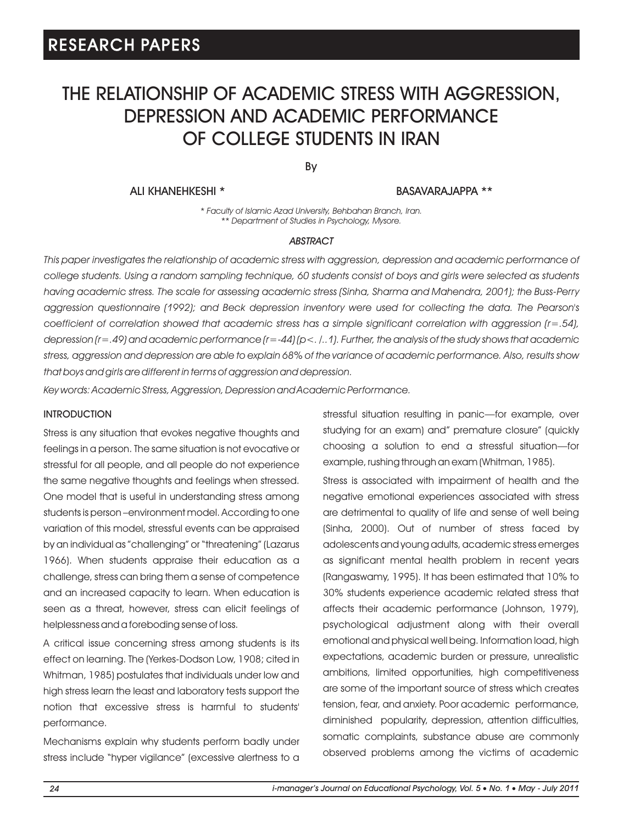# THE RELATIONSHIP OF ACADEMIC STRESS WITH AGGRESSION, DEPRESSION AND ACADEMIC PERFORMANCE OF COLLEGE STUDENTS IN IRAN

By

ALI KHANEHKESHI \* BASAVARAJAPPA \*\*

*\* Faculty of Islamic Azad University, Behbahan Branch, Iran. \*\* Department of Studies in Psychology, Mysore.*

#### *ABSTRACT*

*This paper investigates the relationship of academic stress with aggression, depression and academic performance of college students. Using a random sampling technique, 60 students consist of boys and girls were selected as students having academic stress. The scale for assessing academic stress (Sinha, Sharma and Mahendra, 2001); the Buss-Perry aggression questionnaire (1992); and Beck depression inventory were used for collecting the data. The Pearson's coefficient of correlation showed that academic stress has a simple significant correlation with aggression (r=.54), depression (r=.49) and academic performance (r=-44) (p<. /..1). Further, the analysis of the study shows that academic stress, aggression and depression are able to explain 68% of the variance of academic performance. Also, results show that boys and girls are different in terms of aggression and depression.*

*Key words: Academic Stress, Aggression, Depression and Academic Performance.*

#### INTRODUCTION

Stress is any situation that evokes negative thoughts and feelings in a person. The same situation is not evocative or stressful for all people, and all people do not experience the same negative thoughts and feelings when stressed. One model that is useful in understanding stress among students is person –environment model. According to one variation of this model, stressful events can be appraised by an individual as "challenging" or "threatening" (Lazarus 1966). When students appraise their education as a challenge, stress can bring them a sense of competence and an increased capacity to learn. When education is seen as a threat, however, stress can elicit feelings of helplessness and a foreboding sense of loss.

A critical issue concerning stress among students is its effect on learning. The (Yerkes-Dodson Low, 1908; cited in Whitman, 1985) postulates that individuals under low and high stress learn the least and laboratory tests support the notion that excessive stress is harmful to students' performance.

Mechanisms explain why students perform badly under stress include "hyper vigilance" (excessive alertness to a stressful situation resulting in panic—for example, over studying for an exam) and" premature closure" (quickly choosing a solution to end a stressful situation—for example, rushing through an exam (Whitman, 1985).

Stress is associated with impairment of health and the negative emotional experiences associated with stress are detrimental to quality of life and sense of well being (Sinha, 2000). Out of number of stress faced by adolescents and young adults, academic stress emerges as significant mental health problem in recent years (Rangaswamy, 1995). It has been estimated that 10% to 30% students experience academic related stress that affects their academic performance (Johnson, 1979), psychological adjustment along with their overall emotional and physical well being. Information load, high expectations, academic burden or pressure, unrealistic ambitions, limited opportunities, high competitiveness are some of the important source of stress which creates tension, fear, and anxiety. Poor academic performance, diminished popularity, depression, attention difficulties, somatic complaints, substance abuse are commonly observed problems among the victims of academic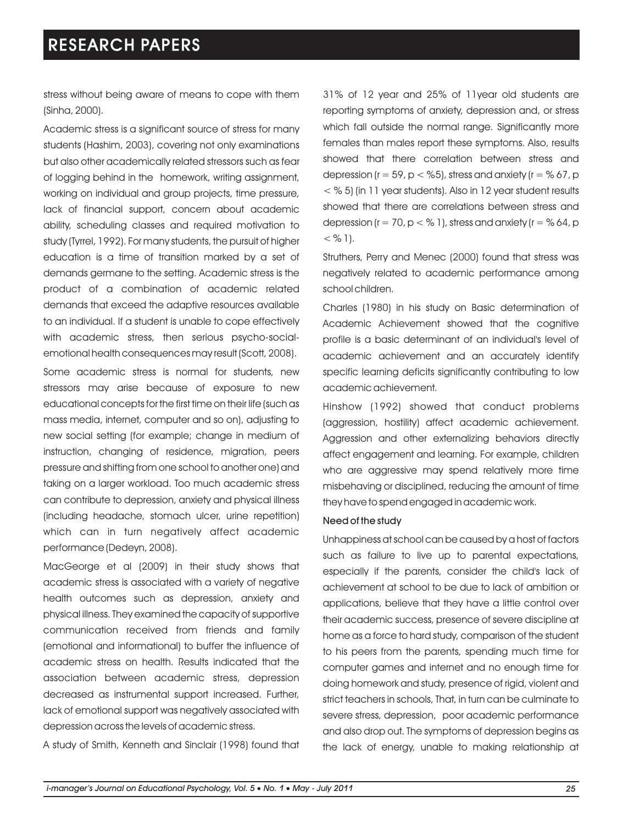stress without being aware of means to cope with them (Sinha, 2000).

Academic stress is a significant source of stress for many students (Hashim, 2003), covering not only examinations but also other academically related stressors such as fear of logging behind in the homework, writing assignment, working on individual and group projects, time pressure, lack of financial support, concern about academic ability, scheduling classes and required motivation to study (Tyrrel, 1992). For many students, the pursuit of higher education is a time of transition marked by a set of demands germane to the setting. Academic stress is the product of a combination of academic related demands that exceed the adaptive resources available to an individual. If a student is unable to cope effectively with academic stress, then serious psycho-socialemotional health consequences may result (Scott, 2008).

Some academic stress is normal for students, new stressors may arise because of exposure to new educational concepts for the first time on their life (such as mass media, internet, computer and so on), adjusting to new social setting (for example; change in medium of instruction, changing of residence, migration, peers pressure and shifting from one school to another one) and taking on a larger workload. Too much academic stress can contribute to depression, anxiety and physical illness (including headache, stomach ulcer, urine repetition) which can in turn negatively affect academic performance (Dedeyn, 2008).

MacGeorge et al (2009) in their study shows that academic stress is associated with a variety of negative health outcomes such as depression, anxiety and physical illness. They examined the capacity of supportive communication received from friends and family (emotional and informational) to buffer the influence of academic stress on health. Results indicated that the association between academic stress, depression decreased as instrumental support increased. Further, lack of emotional support was negatively associated with depression across the levels of academic stress.

A study of Smith, Kenneth and Sinclair (1998) found that

31% of 12 year and 25% of 11year old students are reporting symptoms of anxiety, depression and, or stress which fall outside the normal range. Significantly more females than males report these symptoms. Also, results showed that there correlation between stress and depression ( $r = 59$ ,  $p <$  %5), stress and anxiety ( $r =$  % 67, p  $<$  % 5) (in 11 year students). Also in 12 year student results showed that there are correlations between stress and depression (r = 70, p < % 1), stress and anxiety (r = % 64, p  $<$  % 1).

Struthers, Perry and Menec (2000) found that stress was negatively related to academic performance among school children.

Charles (1980) in his study on Basic determination of Academic Achievement showed that the cognitive profile is a basic determinant of an individual's level of academic achievement and an accurately identify specific learning deficits significantly contributing to low academic achievement.

Hinshow (1992) showed that conduct problems (aggression, hostility) affect academic achievement. Aggression and other externalizing behaviors directly affect engagement and learning. For example, children who are aggressive may spend relatively more time misbehaving or disciplined, reducing the amount of time they have to spend engaged in academic work.

### Need of the study

Unhappiness at school can be caused by a host of factors such as failure to live up to parental expectations, especially if the parents, consider the child's lack of achievement at school to be due to lack of ambition or applications, believe that they have a little control over their academic success, presence of severe discipline at home as a force to hard study, comparison of the student to his peers from the parents, spending much time for computer games and internet and no enough time for doing homework and study, presence of rigid, violent and strict teachers in schools, That, in turn can be culminate to severe stress, depression, poor academic performance and also drop out. The symptoms of depression begins as the lack of energy, unable to making relationship at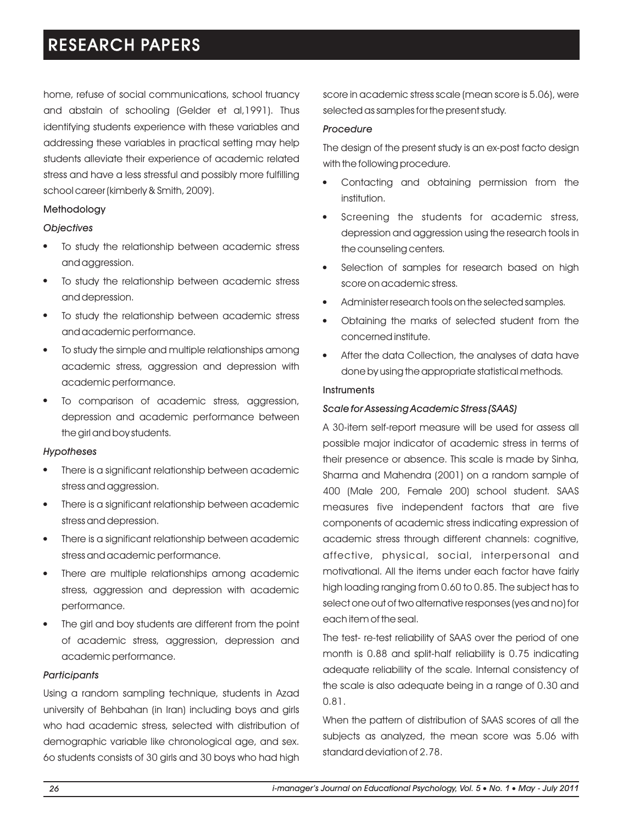home, refuse of social communications, school truancy and abstain of schooling (Gelder et al,1991). Thus identifying students experience with these variables and addressing these variables in practical setting may help students alleviate their experience of academic related stress and have a less stressful and possibly more fulfilling school career (kimberly & Smith, 2009).

## Methodology

## *Objectives*

- To study the relationship between academic stress l and aggression.
- To study the relationship between academic stress l and depression.
- To study the relationship between academic stress l and academic performance.
- To study the simple and multiple relationships among l academic stress, aggression and depression with academic performance.
- To comparison of academic stress, aggression, l depression and academic performance between the girl and boy students.

### *Hypotheses*

- There is a significant relationship between academic l stress and aggression.
- There is a significant relationship between academic l stress and depression.
- There is a significant relationship between academic l stress and academic performance.
- There are multiple relationships among academic l stress, aggression and depression with academic performance.
- The girl and boy students are different from the point l of academic stress, aggression, depression and academic performance.

## *Participants*

Using a random sampling technique, students in Azad university of Behbahan (in Iran) including boys and girls who had academic stress, selected with distribution of demographic variable like chronological age, and sex. 6o students consists of 30 girls and 30 boys who had high score in academic stress scale (mean score is 5.06), were selected as samples for the present study.

## *Procedure*

The design of the present study is an ex-post facto design with the following procedure.

- Contacting and obtaining permission from the l institution.
- $\bullet$  Screening the students for academic stress, depression and aggression using the research tools in the counseling centers.
- Selection of samples for research based on high score on academic stress.
- Administer research tools on the selected samples.
- Administer research tools on the selected samples.<br>• Obtaining the marks of selected student from the concerned institute.
- After the data Collection, the analyses of data have l done by using the appropriate statistical methods.

## **Instruments**

## *Scale for Assessing Academic Stress (SAAS)*

A 30-item self-report measure will be used for assess all possible major indicator of academic stress in terms of their presence or absence. This scale is made by Sinha, Sharma and Mahendra (2001) on a random sample of 400 (Male 200, Female 200) school student. SAAS measures five independent factors that are five components of academic stress indicating expression of academic stress through different channels: cognitive, affective, physical, social, interpersonal and motivational. All the items under each factor have fairly high loading ranging from 0.60 to 0.85. The subject has to select one out of two alternative responses (yes and no) for each item of the seal.

The test- re-test reliability of SAAS over the period of one month is 0.88 and split-half reliability is 0.75 indicating adequate reliability of the scale. Internal consistency of the scale is also adequate being in a range of 0.30 and 0.81.

When the pattern of distribution of SAAS scores of all the subjects as analyzed, the mean score was 5.06 with standard deviation of 2.78.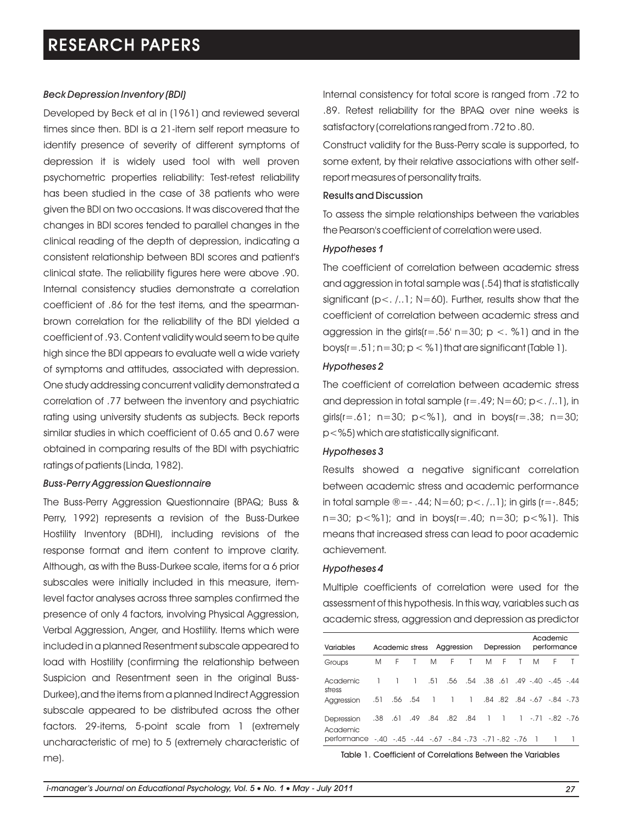### *Beck Depression Inventory (BDI)*

Developed by Beck et al in (1961) and reviewed several times since then. BDI is a 21-item self report measure to identify presence of severity of different symptoms of depression it is widely used tool with well proven psychometric properties reliability: Test-retest reliability has been studied in the case of 38 patients who were given the BDI on two occasions. It was discovered that the changes in BDI scores tended to parallel changes in the clinical reading of the depth of depression, indicating a consistent relationship between BDI scores and patient's clinical state. The reliability figures here were above .90. Internal consistency studies demonstrate a correlation coefficient of .86 for the test items, and the spearmanbrown correlation for the reliability of the BDI yielded a coefficient of .93. Content validity would seem to be quite high since the BDI appears to evaluate well a wide variety of symptoms and attitudes, associated with depression. One study addressing concurrent validity demonstrated a correlation of .77 between the inventory and psychiatric rating using university students as subjects. Beck reports similar studies in which coefficient of 0.65 and 0.67 were obtained in comparing results of the BDI with psychiatric ratings of patients (Linda, 1982).

#### *Buss-Perry Aggression Questionnaire*

The Buss-Perry Aggression Questionnaire (BPAQ; Buss & Perry, 1992) represents a revision of the Buss-Durkee Hostility Inventory (BDHI), including revisions of the response format and item content to improve clarity. Although, as with the Buss-Durkee scale, items for a 6 prior subscales were initially included in this measure, itemlevel factor analyses across three samples confirmed the presence of only 4 factors, involving Physical Aggression, Verbal Aggression, Anger, and Hostility. Items which were included in a planned Resentment subscale appeared to load with Hostility (confirming the relationship between Suspicion and Resentment seen in the original Buss-Durkee),and the items from a planned Indirect Aggression subscale appeared to be distributed across the other factors. 29-items, 5-point scale from 1 (extremely uncharacteristic of me) to 5 (extremely characteristic of me).

Internal consistency for total score is ranged from .72 to .89. Retest reliability for the BPAQ over nine weeks is satisfactory (correlations ranged from .72 to .80.

Construct validity for the Buss-Perry scale is supported, to some extent, by their relative associations with other selfreport measures of personality traits.

## Results and Discussion

To assess the simple relationships between the variables the Pearson's coefficient of correlation were used.

#### *Hypotheses 1*

The coefficient of correlation between academic stress and aggression in total sample was (.54) that is statistically significant (p<. /..1; N=60). Further, results show that the coefficient of correlation between academic stress and aggression in the girls( $r = .56$ ' n=30; p <. %1) and in the boys( $r=.51$ ;  $n=30$ ;  $p < %1$ ) that are significant (Table 1).

### *Hypotheses 2*

The coefficient of correlation between academic stress and depression in total sample  $(r=.49; N=60; p<. / . . 1)$ , in girls( $r = .61$ ;  $n = 30$ ;  $p < %1$ ), and in boys( $r = .38$ ;  $n = 30$ ; p<%5) which are statistically significant.

#### *Hypotheses 3*

Results showed a negative significant correlation between academic stress and academic performance in total sample  $\mathbb{R} = -0.44$ ; N=60; p<.  $(0.1)$ ; in girls (r= $-0.845$ ; n=30;  $p < \frac{9}{1}$ ; and in boys( $r = .40$ ; n=30;  $p < \frac{9}{1}$ ). This means that increased stress can lead to poor academic achievement.

### *Hypotheses 4*

Multiple coefficients of correlation were used for the assessment of this hypothesis. In this way, variables such as academic stress, aggression and depression as predictor

| <b>Variables</b>                                           | Academic stress Aggression |    |                                     | Depression |   |              | Academic<br>performance |                |              |   |                                   |              |
|------------------------------------------------------------|----------------------------|----|-------------------------------------|------------|---|--------------|-------------------------|----------------|--------------|---|-----------------------------------|--------------|
| Groups                                                     | M                          | F. | $\mathsf{T}$                        | M          | F | $\mathsf{T}$ | M                       | F              | $\mathsf{T}$ | M | F.                                | $\mathsf{T}$ |
| Academic<br>stress                                         |                            |    | $1 \quad 1 \quad .51$               |            |   |              |                         |                |              |   | .56 .54 .38 .61 .49 -.40 -.45 .44 |              |
| Aggression                                                 | .51                        |    | .54 .54 .67 .84 .82 .84 .67 .84 .56 |            |   |              |                         |                |              |   |                                   |              |
| Depression<br>Academic                                     | .38                        |    | .61 .49 .84 .82 .84                 |            |   |              | $\overline{1}$          | $\overline{1}$ |              |   | $1 - 71 - 82 - 76$                |              |
| performance - 40 - 45 - 44 - 67 - 84 - 73 - 71 - 82 - 76 1 |                            |    |                                     |            |   |              |                         |                |              |   |                                   |              |

Table 1. Coefficient of Correlations Between the Variables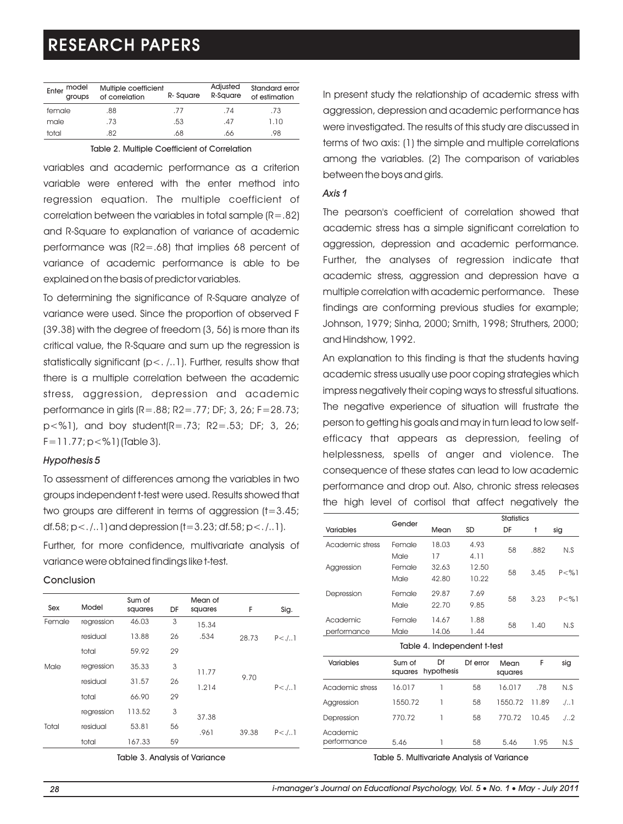| model<br>Enter<br>groups | Multiple coefficient<br>of correlation | R-Square | Adjusted<br>R-Square | Standard error<br>of estimation |
|--------------------------|----------------------------------------|----------|----------------------|---------------------------------|
| female                   | .88                                    | .77      | .74                  | .73                             |
| male                     | .73                                    | .53      | .47                  | 1.10                            |
| total                    | .82                                    | .68      | .66                  | .98                             |

Table 2. Multiple Coefficient of Correlation

variables and academic performance as a criterion variable were entered with the enter method into regression equation. The multiple coefficient of correlation between the variables in total sample  $(R=.82)$ and R-Square to explanation of variance of academic performance was (R2=.68) that implies 68 percent of variance of academic performance is able to be explained on the basis of predictor variables.

To determining the significance of R-Square analyze of variance were used. Since the proportion of observed F (39.38) with the degree of freedom (3, 56) is more than its critical value, the R-Square and sum up the regression is statistically significant (p<. /..1). Further, results show that there is a multiple correlation between the academic stress, aggression, depression and academic performance in girls (R=.88; R2=.77; DF; 3, 26; F=28.73; p<%1), and boy student(R=.73; R2=.53; DF; 3, 26; F=11.77; p<%1) (Table 3).

### *Hypothesis 5*

To assessment of differences among the variables in two groups independent t-test were used. Results showed that two groups are different in terms of aggression  $(t=3.45)$ ; df.58;  $p<$ ./..1) and depression (t=3.23; df.58;  $p<$ ./..1). Further, for more confidence, multivariate analysis of

variance were obtained findings like t-test.

## Conclusion

| Sex    | Model      | Sum of<br>squares | DF | Mean of<br>squares | F     | Sig.         |
|--------|------------|-------------------|----|--------------------|-------|--------------|
| Female | regression | 46.03             | 3  | 15.34              |       |              |
|        | residual   | 13.88             | 26 | .534               | 28.73 | $P < J_{11}$ |
|        | total      | 59.92             | 29 |                    |       |              |
| Male   | regression | 35.33             | 3  | 11.77              |       |              |
|        | residual   | 31.57             | 26 | 1.214              | 9.70  | $P < J_{11}$ |
|        | total      | 66.90             | 29 |                    |       |              |
|        | regression | 113.52            | 3  | 37.38              |       |              |
| Total  | residual   | 53.81             | 56 | .961               | 39.38 | $P < J_{11}$ |
|        | total      | 167.33            | 59 |                    |       |              |

Table 3. Analysis of Variance

In present study the relationship of academic stress with aggression, depression and academic performance has were investigated. The results of this study are discussed in terms of two axis: (1) the simple and multiple correlations among the variables. (2) The comparison of variables between the boys and girls.

### *Axis 1*

The pearson's coefficient of correlation showed that academic stress has a simple significant correlation to aggression, depression and academic performance. Further, the analyses of regression indicate that academic stress, aggression and depression have a multiple correlation with academic performance. These findings are conforming previous studies for example; Johnson, 1979; Sinha, 2000; Smith, 1998; Struthers, 2000; and Hindshow, 1992.

An explanation to this finding is that the students having academic stress usually use poor coping strategies which impress negatively their coping ways to stressful situations. The negative experience of situation will frustrate the person to getting his goals and may in turn lead to low selfefficacy that appears as depression, feeling of helplessness, spells of anger and violence. The consequence of these states can lead to low academic performance and drop out. Also, chronic stress releases the high level of cortisol that affect negatively the

|        | <b>Statistics</b> |       |      |                |                      |  |  |
|--------|-------------------|-------|------|----------------|----------------------|--|--|
|        | SD<br>Mean        |       | DF   | t              | sig                  |  |  |
| Female | 18.03             | 4.93  | 58   | .882           | N.S                  |  |  |
|        |                   |       |      |                |                      |  |  |
| Female | 32.63             | 12.50 |      |                | P < 9/1              |  |  |
| Male   | 42.80             | 10.22 |      |                |                      |  |  |
| Female | 29.87             | 7.69  |      |                | $P < \% 1$           |  |  |
| Male   | 22.70             | 9.85  |      |                |                      |  |  |
| Female | 14.67             | 1.88  |      |                | N.S                  |  |  |
| Male   | 14.06             | 1.44  |      |                |                      |  |  |
|        | Gender<br>Male    | 17    | 4.11 | 58<br>58<br>58 | 3.45<br>3.23<br>1.40 |  |  |

Table 4. Independent t-test Variables Sum of squares hypothesis Df Df error Mean squares F sig Academic stress 16.017 1 58 16.017 78 N.S Aggression 1550.72 1 58 1550.72 11.89 ./..1 Depression 770.72 1 58 770.72 10.45 ./..2 Academic performance 5.46 1 58 5.46 1.95 N.S

Table 5. Multivariate Analysis of Variance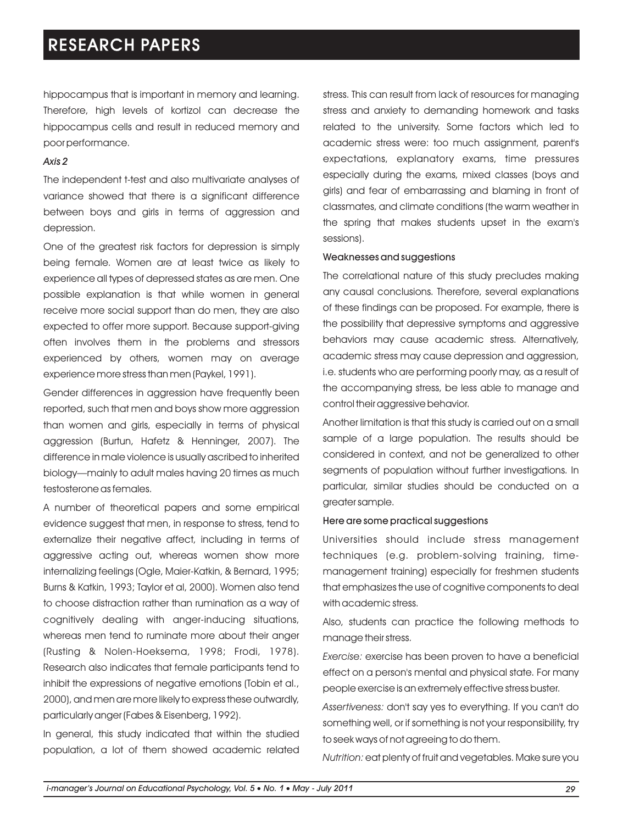hippocampus that is important in memory and learning. Therefore, high levels of kortizol can decrease the hippocampus cells and result in reduced memory and poor performance.

### *Axis 2*

The independent t-test and also multivariate analyses of variance showed that there is a significant difference between boys and girls in terms of aggression and depression.

One of the greatest risk factors for depression is simply being female. Women are at least twice as likely to experience all types of depressed states as are men. One possible explanation is that while women in general receive more social support than do men, they are also expected to offer more support. Because support-giving often involves them in the problems and stressors experienced by others, women may on average experience more stress than men (Paykel, 1991).

Gender differences in aggression have frequently been reported, such that men and boys show more aggression than women and girls, especially in terms of physical aggression (Burtun, Hafetz & Henninger, 2007). The difference in male violence is usually ascribed to inherited biology—mainly to adult males having 20 times as much testosterone as females.

A number of theoretical papers and some empirical evidence suggest that men, in response to stress, tend to externalize their negative affect, including in terms of aggressive acting out, whereas women show more internalizing feelings (Ogle, Maier-Katkin, & Bernard, 1995; Burns & Katkin, 1993; Taylor et al, 2000). Women also tend to choose distraction rather than rumination as a way of cognitively dealing with anger-inducing situations, whereas men tend to ruminate more about their anger (Rusting & Nolen-Hoeksema, 1998; Frodi, 1978). Research also indicates that female participants tend to inhibit the expressions of negative emotions (Tobin et al., 2000), and men are more likely to express these outwardly, particularly anger (Fabes & Eisenberg, 1992).

In general, this study indicated that within the studied population, a lot of them showed academic related stress. This can result from lack of resources for managing stress and anxiety to demanding homework and tasks related to the university. Some factors which led to academic stress were: too much assignment, parent's expectations, explanatory exams, time pressures especially during the exams, mixed classes (boys and girls) and fear of embarrassing and blaming in front of classmates, and climate conditions (the warm weather in the spring that makes students upset in the exam's sessions).

### Weaknesses and suggestions

The correlational nature of this study precludes making any causal conclusions. Therefore, several explanations of these findings can be proposed. For example, there is the possibility that depressive symptoms and aggressive behaviors may cause academic stress. Alternatively, academic stress may cause depression and aggression, i.e. students who are performing poorly may, as a result of the accompanying stress, be less able to manage and control their aggressive behavior.

Another limitation is that this study is carried out on a small sample of a large population. The results should be considered in context, and not be generalized to other segments of population without further investigations. In particular, similar studies should be conducted on a greater sample.

#### Here are some practical suggestions

Universities should include stress management techniques (e.g. problem-solving training, timemanagement training) especially for freshmen students that emphasizes the use of cognitive components to deal with academic stress.

Also, students can practice the following methods to manage their stress.

*Exercise:* exercise has been proven to have a beneficial effect on a person's mental and physical state. For many people exercise is an extremely effective stress buster.

*Assertiveness:* don't say yes to everything. If you can't do something well, or if something is not your responsibility, try to seek ways of not agreeing to do them.

*Nutrition:* eat plenty of fruit and vegetables. Make sure you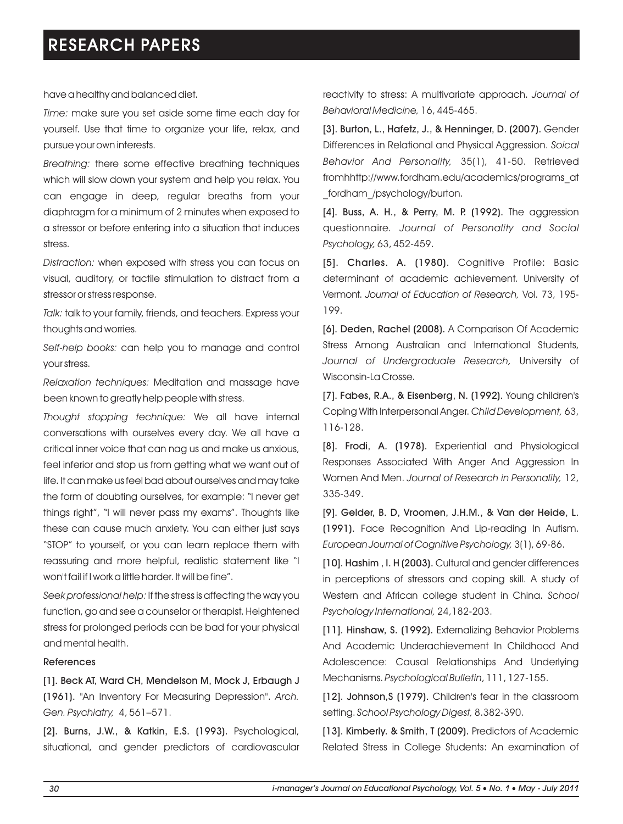have a healthy and balanced diet.

*Time:* make sure you set aside some time each day for yourself. Use that time to organize your life, relax, and pursue your own interests.

*Breathing:* there some effective breathing techniques which will slow down your system and help you relax. You can engage in deep, regular breaths from your diaphragm for a minimum of 2 minutes when exposed to a stressor or before entering into a situation that induces stress.

*Distraction:* when exposed with stress you can focus on visual, auditory, or tactile stimulation to distract from a stressor or stress response.

*Talk:* talk to your family, friends, and teachers. Express your thoughts and worries.

*Self-help books:* can help you to manage and control your stress.

*Relaxation techniques:* Meditation and massage have been known to greatly help people with stress.

*Thought stopping technique:* We all have internal conversations with ourselves every day. We all have a critical inner voice that can nag us and make us anxious, feel inferior and stop us from getting what we want out of life. It can make us feel bad about ourselves and may take the form of doubting ourselves, for example: "I never get things right", "I will never pass my exams". Thoughts like these can cause much anxiety. You can either just says "STOP" to yourself, or you can learn replace them with reassuring and more helpful, realistic statement like "I won't fail if I work a little harder. It will be fine".

*Seek professional help:* If the stress is affecting the way you function, go and see a counselor or therapist. Heightened stress for prolonged periods can be bad for your physical and mental health.

### References

[1]. Beck AT, Ward CH, Mendelson M, Mock J, Erbaugh J (1961). "An Inventory For Measuring Depression". *Arch. Gen. Psychiatry,* 4, 561–571.

[2]. Burns, J.W., & Katkin, E.S. (1993). Psychological, situational, and gender predictors of cardiovascular reactivity to stress: A multivariate approach. *Journal of Behavioral Medicine,* 16, 445-465.

[3]. Burton, L., Hafetz, J., & Henninger, D. (2007). Gender Differences in Relational and Physical Aggression. *Soical Behavior And Personality,* 35(1), 41-50. Retrieved fromhhttp://www.fordham.edu/academics/programs\_at fordham /psychology/burton.

[4]. Buss, A. H., & Perry, M. P. (1992). The aggression questionnaire. *Journal of Personality and Social Psychology,* 63, 452-459.

[5]. Charles. A. (1980). Cognitive Profile: Basic determinant of academic achievement. University of Vermont. *Journal of Education of Research,* Vol. 73, 195- 199.

[6]. Deden, Rachel (2008). A Comparison Of Academic Stress Among Australian and International Students, *Journal of Undergraduate Research,* University of Wisconsin-La Crosse.

[7]. Fabes, R.A., & Eisenberg, N. (1992). Young children's Coping With Interpersonal Anger. *Child Development,* 63, 116-128.

[8]. Frodi, A. (1978). Experiential and Physiological Responses Associated With Anger And Aggression In Women And Men. *Journal of Research in Personality,* 12, 335-349.

[9]. Gelder, B. D, Vroomen, J.H.M., & Van der Heide, L. (1991). Face Recognition And Lip-reading In Autism. *European Journal of Cognitive Psychology,* 3(1), 69-86.

[10]. Hashim , I. H (2003). Cultural and gender differences in perceptions of stressors and coping skill. A study of Western and African college student in China. *School Psychology International,* 24,182-203.

[11]. Hinshaw, S. (1992). Externalizing Behavior Problems And Academic Underachievement In Childhood And Adolescence: Causal Relationships And Underlying Mechanisms. *Psychological Bulletin*, 111, 127-155.

[12]. Johnson,S (1979). Children's fear in the classroom setting. *School Psychology Digest,* 8.382-390.

[13]. Kimberly. & Smith, T (2009). Predictors of Academic Related Stress in College Students: An examination of